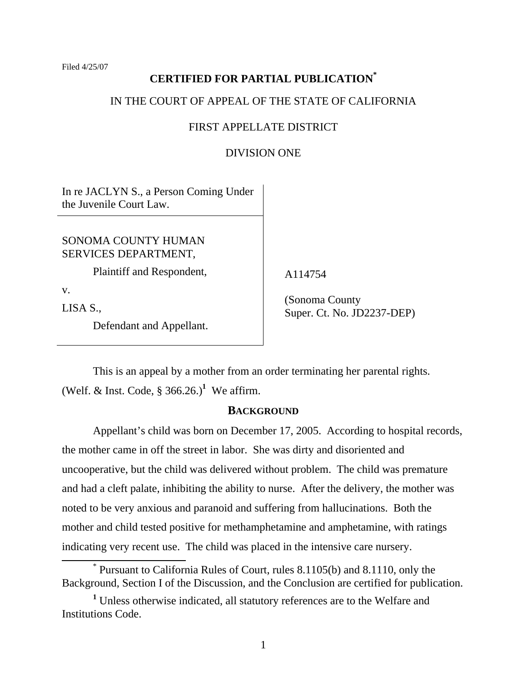Filed 4/25/07

## **CERTIFIED FOR PARTIAL PUBLICATION\***

## IN THE COURT OF APPEAL OF THE STATE OF CALIFORNIA

## FIRST APPELLATE DISTRICT

#### DIVISION ONE

In re JACLYN S., a Person Coming Under the Juvenile Court Law.

SONOMA COUNTY HUMAN SERVICES DEPARTMENT,

Plaintiff and Respondent,

v.

LISA S.,

Defendant and Appellant.

A114754

 (Sonoma County Super. Ct. No. JD2237-DEP)

 This is an appeal by a mother from an order terminating her parental rights. (Welf. & Inst. Code,  $\S 366.26$ .)<sup>1</sup> We affirm.

#### **BACKGROUND**

 Appellant's child was born on December 17, 2005. According to hospital records, the mother came in off the street in labor. She was dirty and disoriented and uncooperative, but the child was delivered without problem. The child was premature and had a cleft palate, inhibiting the ability to nurse. After the delivery, the mother was noted to be very anxious and paranoid and suffering from hallucinations. Both the mother and child tested positive for methamphetamine and amphetamine, with ratings indicating very recent use. The child was placed in the intensive care nursery.

 <sup>\*</sup> Pursuant to California Rules of Court, rules 8.1105(b) and 8.1110, only the Background, Section I of the Discussion, and the Conclusion are certified for publication.

<sup>&</sup>lt;sup>1</sup> Unless otherwise indicated, all statutory references are to the Welfare and Institutions Code.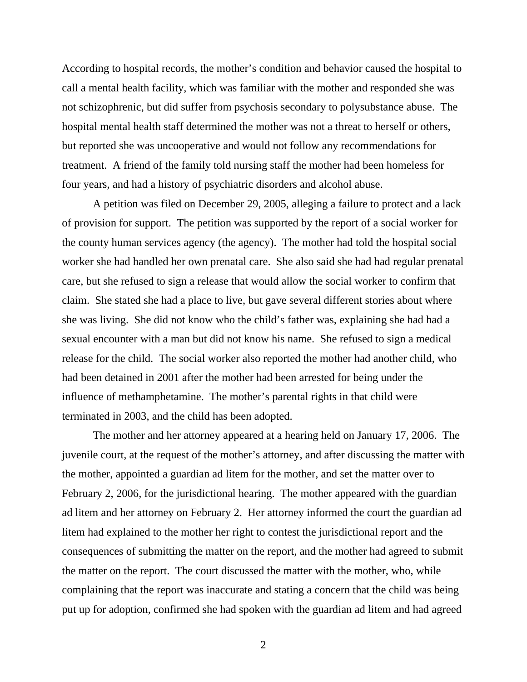According to hospital records, the mother's condition and behavior caused the hospital to call a mental health facility, which was familiar with the mother and responded she was not schizophrenic, but did suffer from psychosis secondary to polysubstance abuse. The hospital mental health staff determined the mother was not a threat to herself or others, but reported she was uncooperative and would not follow any recommendations for treatment. A friend of the family told nursing staff the mother had been homeless for four years, and had a history of psychiatric disorders and alcohol abuse.

 A petition was filed on December 29, 2005, alleging a failure to protect and a lack of provision for support. The petition was supported by the report of a social worker for the county human services agency (the agency). The mother had told the hospital social worker she had handled her own prenatal care. She also said she had had regular prenatal care, but she refused to sign a release that would allow the social worker to confirm that claim. She stated she had a place to live, but gave several different stories about where she was living. She did not know who the child's father was, explaining she had had a sexual encounter with a man but did not know his name. She refused to sign a medical release for the child. The social worker also reported the mother had another child, who had been detained in 2001 after the mother had been arrested for being under the influence of methamphetamine. The mother's parental rights in that child were terminated in 2003, and the child has been adopted.

 The mother and her attorney appeared at a hearing held on January 17, 2006. The juvenile court, at the request of the mother's attorney, and after discussing the matter with the mother, appointed a guardian ad litem for the mother, and set the matter over to February 2, 2006, for the jurisdictional hearing. The mother appeared with the guardian ad litem and her attorney on February 2. Her attorney informed the court the guardian ad litem had explained to the mother her right to contest the jurisdictional report and the consequences of submitting the matter on the report, and the mother had agreed to submit the matter on the report. The court discussed the matter with the mother, who, while complaining that the report was inaccurate and stating a concern that the child was being put up for adoption, confirmed she had spoken with the guardian ad litem and had agreed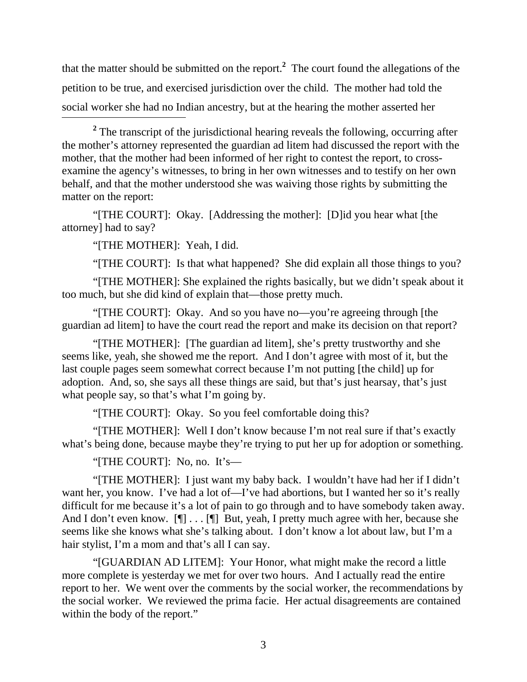that the matter should be submitted on the report.**<sup>2</sup>** The court found the allegations of the petition to be true, and exercised jurisdiction over the child. The mother had told the social worker she had no Indian ancestry, but at the hearing the mother asserted her

<sup>2</sup> The transcript of the jurisdictional hearing reveals the following, occurring after the mother's attorney represented the guardian ad litem had discussed the report with the mother, that the mother had been informed of her right to contest the report, to crossexamine the agency's witnesses, to bring in her own witnesses and to testify on her own behalf, and that the mother understood she was waiving those rights by submitting the matter on the report:

"[THE COURT]: Okay. [Addressing the mother]: [D]id you hear what [the attorney] had to say?

"[THE MOTHER]: Yeah, I did.

"[THE COURT]: Is that what happened? She did explain all those things to you?

"[THE MOTHER]: She explained the rights basically, but we didn't speak about it too much, but she did kind of explain that—those pretty much.

"[THE COURT]: Okay. And so you have no—you're agreeing through [the guardian ad litem] to have the court read the report and make its decision on that report?

"[THE MOTHER]: [The guardian ad litem], she's pretty trustworthy and she seems like, yeah, she showed me the report. And I don't agree with most of it, but the last couple pages seem somewhat correct because I'm not putting [the child] up for adoption. And, so, she says all these things are said, but that's just hearsay, that's just what people say, so that's what I'm going by.

"[THE COURT]: Okay. So you feel comfortable doing this?

"[THE MOTHER]: Well I don't know because I'm not real sure if that's exactly what's being done, because maybe they're trying to put her up for adoption or something.

"[THE COURT]: No, no. It's—

"[THE MOTHER]: I just want my baby back. I wouldn't have had her if I didn't want her, you know. I've had a lot of—I've had abortions, but I wanted her so it's really difficult for me because it's a lot of pain to go through and to have somebody taken away. And I don't even know. [¶] . . . [¶] But, yeah, I pretty much agree with her, because she seems like she knows what she's talking about. I don't know a lot about law, but I'm a hair stylist, I'm a mom and that's all I can say.

"[GUARDIAN AD LITEM]: Your Honor, what might make the record a little more complete is yesterday we met for over two hours. And I actually read the entire report to her. We went over the comments by the social worker, the recommendations by the social worker. We reviewed the prima facie. Her actual disagreements are contained within the body of the report."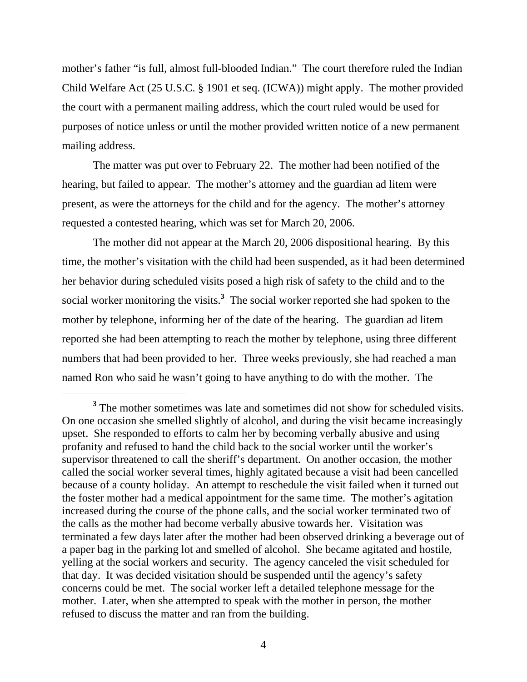mother's father "is full, almost full-blooded Indian." The court therefore ruled the Indian Child Welfare Act (25 U.S.C. § 1901 et seq. (ICWA)) might apply. The mother provided the court with a permanent mailing address, which the court ruled would be used for purposes of notice unless or until the mother provided written notice of a new permanent mailing address.

 The matter was put over to February 22. The mother had been notified of the hearing, but failed to appear. The mother's attorney and the guardian ad litem were present, as were the attorneys for the child and for the agency. The mother's attorney requested a contested hearing, which was set for March 20, 2006.

 The mother did not appear at the March 20, 2006 dispositional hearing. By this time, the mother's visitation with the child had been suspended, as it had been determined her behavior during scheduled visits posed a high risk of safety to the child and to the social worker monitoring the visits.**<sup>3</sup>** The social worker reported she had spoken to the mother by telephone, informing her of the date of the hearing. The guardian ad litem reported she had been attempting to reach the mother by telephone, using three different numbers that had been provided to her. Three weeks previously, she had reached a man named Ron who said he wasn't going to have anything to do with the mother. The

 $\overline{a}$ 

<sup>&</sup>lt;sup>3</sup> The mother sometimes was late and sometimes did not show for scheduled visits. On one occasion she smelled slightly of alcohol, and during the visit became increasingly upset. She responded to efforts to calm her by becoming verbally abusive and using profanity and refused to hand the child back to the social worker until the worker's supervisor threatened to call the sheriff's department. On another occasion, the mother called the social worker several times, highly agitated because a visit had been cancelled because of a county holiday. An attempt to reschedule the visit failed when it turned out the foster mother had a medical appointment for the same time. The mother's agitation increased during the course of the phone calls, and the social worker terminated two of the calls as the mother had become verbally abusive towards her. Visitation was terminated a few days later after the mother had been observed drinking a beverage out of a paper bag in the parking lot and smelled of alcohol. She became agitated and hostile, yelling at the social workers and security. The agency canceled the visit scheduled for that day. It was decided visitation should be suspended until the agency's safety concerns could be met. The social worker left a detailed telephone message for the mother. Later, when she attempted to speak with the mother in person, the mother refused to discuss the matter and ran from the building.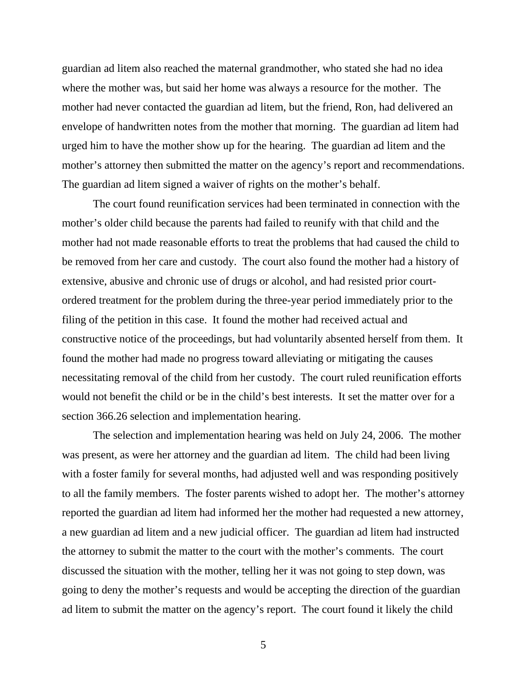guardian ad litem also reached the maternal grandmother, who stated she had no idea where the mother was, but said her home was always a resource for the mother. The mother had never contacted the guardian ad litem, but the friend, Ron, had delivered an envelope of handwritten notes from the mother that morning. The guardian ad litem had urged him to have the mother show up for the hearing. The guardian ad litem and the mother's attorney then submitted the matter on the agency's report and recommendations. The guardian ad litem signed a waiver of rights on the mother's behalf.

 The court found reunification services had been terminated in connection with the mother's older child because the parents had failed to reunify with that child and the mother had not made reasonable efforts to treat the problems that had caused the child to be removed from her care and custody. The court also found the mother had a history of extensive, abusive and chronic use of drugs or alcohol, and had resisted prior courtordered treatment for the problem during the three-year period immediately prior to the filing of the petition in this case. It found the mother had received actual and constructive notice of the proceedings, but had voluntarily absented herself from them. It found the mother had made no progress toward alleviating or mitigating the causes necessitating removal of the child from her custody. The court ruled reunification efforts would not benefit the child or be in the child's best interests. It set the matter over for a section 366.26 selection and implementation hearing.

 The selection and implementation hearing was held on July 24, 2006. The mother was present, as were her attorney and the guardian ad litem. The child had been living with a foster family for several months, had adjusted well and was responding positively to all the family members. The foster parents wished to adopt her. The mother's attorney reported the guardian ad litem had informed her the mother had requested a new attorney, a new guardian ad litem and a new judicial officer. The guardian ad litem had instructed the attorney to submit the matter to the court with the mother's comments. The court discussed the situation with the mother, telling her it was not going to step down, was going to deny the mother's requests and would be accepting the direction of the guardian ad litem to submit the matter on the agency's report. The court found it likely the child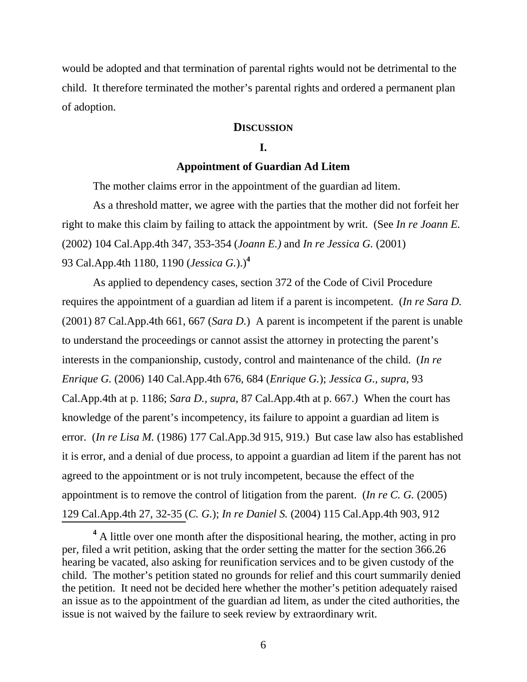would be adopted and that termination of parental rights would not be detrimental to the child. It therefore terminated the mother's parental rights and ordered a permanent plan of adoption.

## **DISCUSSION**

## **I.**

### **Appointment of Guardian Ad Litem**

The mother claims error in the appointment of the guardian ad litem.

 As a threshold matter, we agree with the parties that the mother did not forfeit her right to make this claim by failing to attack the appointment by writ. (See *In re Joann E.*  (2002) 104 Cal.App.4th 347, 353-354 (*Joann E.)* and *In re Jessica G.* (2001) 93 Cal.App.4th 1180, 1190 (*Jessica G.*).)**<sup>4</sup>**

 As applied to dependency cases, section 372 of the Code of Civil Procedure requires the appointment of a guardian ad litem if a parent is incompetent. (*In re Sara D.* (2001) 87 Cal.App.4th 661, 667 (*Sara D.*) A parent is incompetent if the parent is unable to understand the proceedings or cannot assist the attorney in protecting the parent's interests in the companionship, custody, control and maintenance of the child. (*In re Enrique G.* (2006) 140 Cal.App.4th 676, 684 (*Enrique G.*); *Jessica G., supra,* 93 Cal.App.4th at p. 1186; *Sara D., supra,* 87 Cal.App.4th at p. 667.) When the court has knowledge of the parent's incompetency, its failure to appoint a guardian ad litem is error. (*In re Lisa M.* (1986) 177 Cal.App.3d 915, 919.) But case law also has established it is error, and a denial of due process, to appoint a guardian ad litem if the parent has not agreed to the appointment or is not truly incompetent, because the effect of the appointment is to remove the control of litigation from the parent. (*In re C. G.* (2005) 129 Cal.App.4th 27, 32-35 (*C. G.*); *In re Daniel S.* (2004) 115 Cal.App.4th 903, 912

<sup>&</sup>lt;sup>4</sup> A little over one month after the dispositional hearing, the mother, acting in pro per, filed a writ petition, asking that the order setting the matter for the section 366.26 hearing be vacated, also asking for reunification services and to be given custody of the child. The mother's petition stated no grounds for relief and this court summarily denied the petition. It need not be decided here whether the mother's petition adequately raised an issue as to the appointment of the guardian ad litem, as under the cited authorities, the issue is not waived by the failure to seek review by extraordinary writ.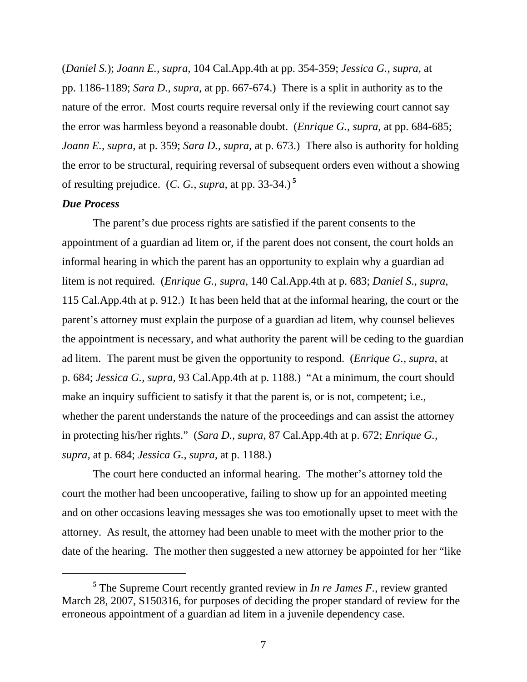(*Daniel S.*); *Joann E., supra,* 104 Cal.App.4th at pp. 354-359; *Jessica G., supra,* at pp. 1186-1189; *Sara D., supra,* at pp. 667-674.) There is a split in authority as to the nature of the error. Most courts require reversal only if the reviewing court cannot say the error was harmless beyond a reasonable doubt. (*Enrique G.*, *supra*, at pp. 684-685; *Joann E., supra,* at p. 359; *Sara D., supra,* at p. 673.) There also is authority for holding the error to be structural, requiring reversal of subsequent orders even without a showing of resulting prejudice. (*C. G., supra,* at pp. 33-34.) **<sup>5</sup>**

## *Due Process*

 $\overline{a}$ 

 The parent's due process rights are satisfied if the parent consents to the appointment of a guardian ad litem or, if the parent does not consent, the court holds an informal hearing in which the parent has an opportunity to explain why a guardian ad litem is not required. (*Enrique G., supra,* 140 Cal.App.4th at p. 683; *Daniel S., supra,*  115 Cal.App.4th at p. 912.) It has been held that at the informal hearing, the court or the parent's attorney must explain the purpose of a guardian ad litem, why counsel believes the appointment is necessary, and what authority the parent will be ceding to the guardian ad litem. The parent must be given the opportunity to respond. (*Enrique G., supra,* at p. 684; *Jessica G., supra,* 93 Cal.App.4th at p. 1188.) "At a minimum, the court should make an inquiry sufficient to satisfy it that the parent is, or is not, competent; i.e., whether the parent understands the nature of the proceedings and can assist the attorney in protecting his/her rights." (*Sara D., supra,* 87 Cal.App.4th at p. 672; *Enrique G., supra,* at p. 684; *Jessica G.*, *supra,* at p. 1188.)

 The court here conducted an informal hearing. The mother's attorney told the court the mother had been uncooperative, failing to show up for an appointed meeting and on other occasions leaving messages she was too emotionally upset to meet with the attorney. As result, the attorney had been unable to meet with the mother prior to the date of the hearing. The mother then suggested a new attorney be appointed for her "like

**<sup>5</sup>** The Supreme Court recently granted review in *In re James F.*, review granted March 28, 2007, S150316, for purposes of deciding the proper standard of review for the erroneous appointment of a guardian ad litem in a juvenile dependency case.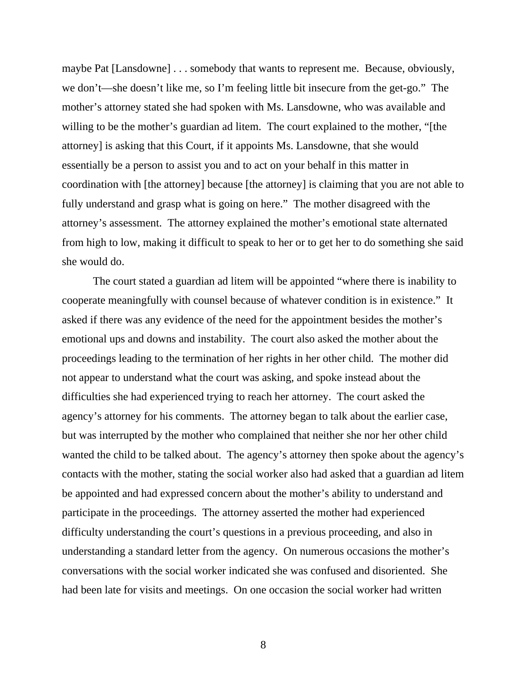maybe Pat [Lansdowne] . . . somebody that wants to represent me. Because, obviously, we don't—she doesn't like me, so I'm feeling little bit insecure from the get-go." The mother's attorney stated she had spoken with Ms. Lansdowne, who was available and willing to be the mother's guardian ad litem. The court explained to the mother, "[the attorney] is asking that this Court, if it appoints Ms. Lansdowne, that she would essentially be a person to assist you and to act on your behalf in this matter in coordination with [the attorney] because [the attorney] is claiming that you are not able to fully understand and grasp what is going on here." The mother disagreed with the attorney's assessment. The attorney explained the mother's emotional state alternated from high to low, making it difficult to speak to her or to get her to do something she said she would do.

 The court stated a guardian ad litem will be appointed "where there is inability to cooperate meaningfully with counsel because of whatever condition is in existence." It asked if there was any evidence of the need for the appointment besides the mother's emotional ups and downs and instability. The court also asked the mother about the proceedings leading to the termination of her rights in her other child. The mother did not appear to understand what the court was asking, and spoke instead about the difficulties she had experienced trying to reach her attorney. The court asked the agency's attorney for his comments. The attorney began to talk about the earlier case, but was interrupted by the mother who complained that neither she nor her other child wanted the child to be talked about. The agency's attorney then spoke about the agency's contacts with the mother, stating the social worker also had asked that a guardian ad litem be appointed and had expressed concern about the mother's ability to understand and participate in the proceedings. The attorney asserted the mother had experienced difficulty understanding the court's questions in a previous proceeding, and also in understanding a standard letter from the agency. On numerous occasions the mother's conversations with the social worker indicated she was confused and disoriented. She had been late for visits and meetings. On one occasion the social worker had written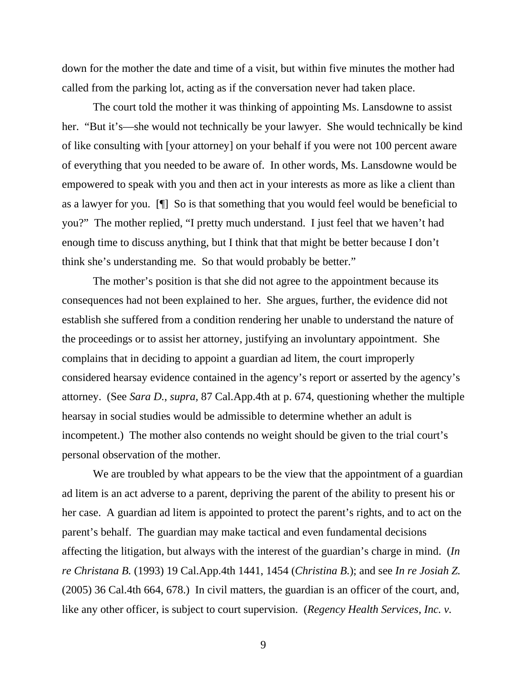down for the mother the date and time of a visit, but within five minutes the mother had called from the parking lot, acting as if the conversation never had taken place.

 The court told the mother it was thinking of appointing Ms. Lansdowne to assist her. "But it's—she would not technically be your lawyer. She would technically be kind of like consulting with [your attorney] on your behalf if you were not 100 percent aware of everything that you needed to be aware of. In other words, Ms. Lansdowne would be empowered to speak with you and then act in your interests as more as like a client than as a lawyer for you. [¶] So is that something that you would feel would be beneficial to you?" The mother replied, "I pretty much understand. I just feel that we haven't had enough time to discuss anything, but I think that that might be better because I don't think she's understanding me. So that would probably be better."

 The mother's position is that she did not agree to the appointment because its consequences had not been explained to her. She argues, further, the evidence did not establish she suffered from a condition rendering her unable to understand the nature of the proceedings or to assist her attorney, justifying an involuntary appointment. She complains that in deciding to appoint a guardian ad litem, the court improperly considered hearsay evidence contained in the agency's report or asserted by the agency's attorney. (See *Sara D.*, *supra,* 87 Cal.App.4th at p. 674, questioning whether the multiple hearsay in social studies would be admissible to determine whether an adult is incompetent.) The mother also contends no weight should be given to the trial court's personal observation of the mother.

We are troubled by what appears to be the view that the appointment of a guardian ad litem is an act adverse to a parent, depriving the parent of the ability to present his or her case. A guardian ad litem is appointed to protect the parent's rights, and to act on the parent's behalf. The guardian may make tactical and even fundamental decisions affecting the litigation, but always with the interest of the guardian's charge in mind. (*In re Christana B.* (1993) 19 Cal.App.4th 1441, 1454 (*Christina B.*); and see *In re Josiah Z.*  (2005) 36 Cal.4th 664, 678.) In civil matters, the guardian is an officer of the court, and, like any other officer, is subject to court supervision. (*Regency Health Services, Inc. v.*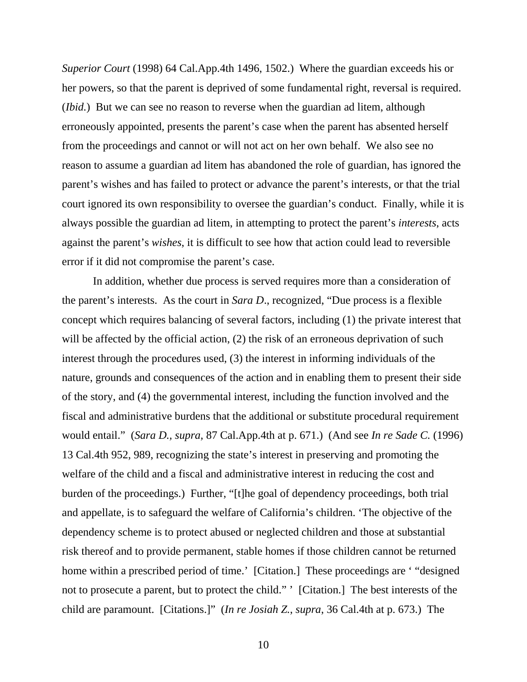*Superior Court* (1998) 64 Cal.App.4th 1496, 1502.) Where the guardian exceeds his or her powers, so that the parent is deprived of some fundamental right, reversal is required. (*Ibid.*) But we can see no reason to reverse when the guardian ad litem, although erroneously appointed, presents the parent's case when the parent has absented herself from the proceedings and cannot or will not act on her own behalf. We also see no reason to assume a guardian ad litem has abandoned the role of guardian, has ignored the parent's wishes and has failed to protect or advance the parent's interests, or that the trial court ignored its own responsibility to oversee the guardian's conduct. Finally, while it is always possible the guardian ad litem, in attempting to protect the parent's *interests*, acts against the parent's *wishes*, it is difficult to see how that action could lead to reversible error if it did not compromise the parent's case.

 In addition, whether due process is served requires more than a consideration of the parent's interests. As the court in *Sara D*., recognized, "Due process is a flexible concept which requires balancing of several factors, including (1) the private interest that will be affected by the official action, (2) the risk of an erroneous deprivation of such interest through the procedures used, (3) the interest in informing individuals of the nature, grounds and consequences of the action and in enabling them to present their side of the story, and (4) the governmental interest, including the function involved and the fiscal and administrative burdens that the additional or substitute procedural requirement would entail." (*Sara D., supra,* 87 Cal.App.4th at p. 671.) (And see *In re Sade C.* (1996) 13 Cal.4th 952, 989, recognizing the state's interest in preserving and promoting the welfare of the child and a fiscal and administrative interest in reducing the cost and burden of the proceedings.) Further, "[t]he goal of dependency proceedings, both trial and appellate, is to safeguard the welfare of California's children. 'The objective of the dependency scheme is to protect abused or neglected children and those at substantial risk thereof and to provide permanent, stable homes if those children cannot be returned home within a prescribed period of time.' [Citation.] These proceedings are ' "designed" not to prosecute a parent, but to protect the child." ' [Citation.] The best interests of the child are paramount. [Citations.]" (*In re Josiah Z.*, *supra*, 36 Cal.4th at p. 673.) The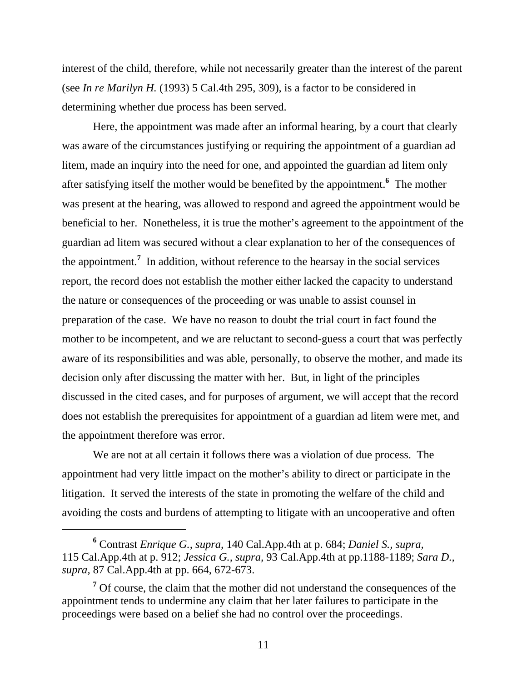interest of the child, therefore, while not necessarily greater than the interest of the parent (see *In re Marilyn H.* (1993) 5 Cal.4th 295, 309), is a factor to be considered in determining whether due process has been served.

 Here, the appointment was made after an informal hearing, by a court that clearly was aware of the circumstances justifying or requiring the appointment of a guardian ad litem, made an inquiry into the need for one, and appointed the guardian ad litem only after satisfying itself the mother would be benefited by the appointment.**<sup>6</sup>** The mother was present at the hearing, was allowed to respond and agreed the appointment would be beneficial to her. Nonetheless, it is true the mother's agreement to the appointment of the guardian ad litem was secured without a clear explanation to her of the consequences of the appointment.**<sup>7</sup>** In addition, without reference to the hearsay in the social services report, the record does not establish the mother either lacked the capacity to understand the nature or consequences of the proceeding or was unable to assist counsel in preparation of the case. We have no reason to doubt the trial court in fact found the mother to be incompetent, and we are reluctant to second-guess a court that was perfectly aware of its responsibilities and was able, personally, to observe the mother, and made its decision only after discussing the matter with her. But, in light of the principles discussed in the cited cases, and for purposes of argument, we will accept that the record does not establish the prerequisites for appointment of a guardian ad litem were met, and the appointment therefore was error.

 We are not at all certain it follows there was a violation of due process. The appointment had very little impact on the mother's ability to direct or participate in the litigation. It served the interests of the state in promoting the welfare of the child and avoiding the costs and burdens of attempting to litigate with an uncooperative and often

 $\overline{a}$ 

**<sup>6</sup>** Contrast *Enrique G., supra,* 140 Cal.App.4th at p. 684; *Daniel S., supra,*  115 Cal.App.4th at p. 912; *Jessica G., supra,* 93 Cal.App.4th at pp.1188-1189; *Sara D., supra,* 87 Cal.App.4th at pp. 664, 672-673.

<sup>&</sup>lt;sup>7</sup> Of course, the claim that the mother did not understand the consequences of the appointment tends to undermine any claim that her later failures to participate in the proceedings were based on a belief she had no control over the proceedings.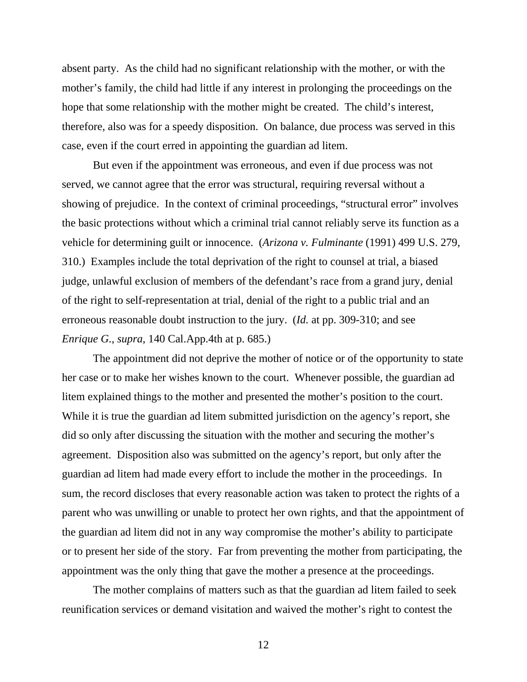absent party. As the child had no significant relationship with the mother, or with the mother's family, the child had little if any interest in prolonging the proceedings on the hope that some relationship with the mother might be created. The child's interest, therefore, also was for a speedy disposition. On balance, due process was served in this case, even if the court erred in appointing the guardian ad litem.

 But even if the appointment was erroneous, and even if due process was not served, we cannot agree that the error was structural, requiring reversal without a showing of prejudice. In the context of criminal proceedings, "structural error" involves the basic protections without which a criminal trial cannot reliably serve its function as a vehicle for determining guilt or innocence. (*Arizona v. Fulminante* (1991) 499 U.S. 279, 310.) Examples include the total deprivation of the right to counsel at trial, a biased judge, unlawful exclusion of members of the defendant's race from a grand jury, denial of the right to self-representation at trial, denial of the right to a public trial and an erroneous reasonable doubt instruction to the jury. (*Id.* at pp. 309-310; and see *Enrique G., supra,* 140 Cal.App.4th at p. 685.)

 The appointment did not deprive the mother of notice or of the opportunity to state her case or to make her wishes known to the court. Whenever possible, the guardian ad litem explained things to the mother and presented the mother's position to the court. While it is true the guardian ad litem submitted jurisdiction on the agency's report, she did so only after discussing the situation with the mother and securing the mother's agreement. Disposition also was submitted on the agency's report, but only after the guardian ad litem had made every effort to include the mother in the proceedings. In sum, the record discloses that every reasonable action was taken to protect the rights of a parent who was unwilling or unable to protect her own rights, and that the appointment of the guardian ad litem did not in any way compromise the mother's ability to participate or to present her side of the story. Far from preventing the mother from participating, the appointment was the only thing that gave the mother a presence at the proceedings.

 The mother complains of matters such as that the guardian ad litem failed to seek reunification services or demand visitation and waived the mother's right to contest the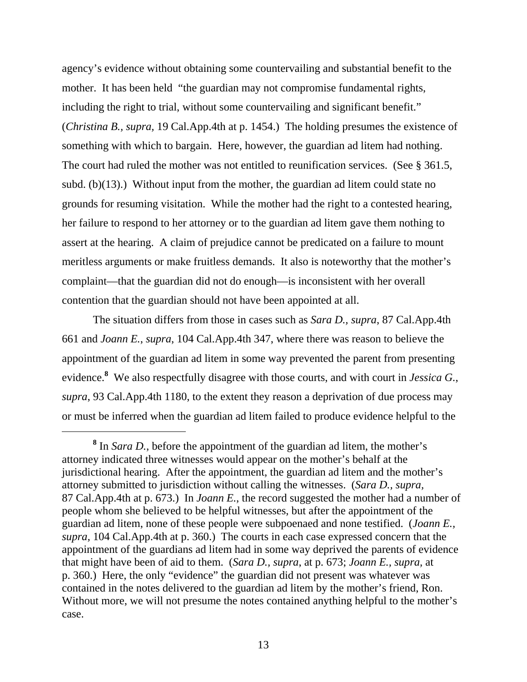agency's evidence without obtaining some countervailing and substantial benefit to the mother. It has been held "the guardian may not compromise fundamental rights, including the right to trial, without some countervailing and significant benefit." (*Christina B., supra,* 19 Cal.App.4th at p. 1454.) The holding presumes the existence of something with which to bargain. Here, however, the guardian ad litem had nothing. The court had ruled the mother was not entitled to reunification services. (See § 361.5, subd. (b)(13).) Without input from the mother, the guardian ad litem could state no grounds for resuming visitation. While the mother had the right to a contested hearing, her failure to respond to her attorney or to the guardian ad litem gave them nothing to assert at the hearing. A claim of prejudice cannot be predicated on a failure to mount meritless arguments or make fruitless demands. It also is noteworthy that the mother's complaint—that the guardian did not do enough—is inconsistent with her overall contention that the guardian should not have been appointed at all.

 The situation differs from those in cases such as *Sara D., supra*, 87 Cal.App.4th 661 and *Joann E.*, *supra*, 104 Cal.App.4th 347, where there was reason to believe the appointment of the guardian ad litem in some way prevented the parent from presenting evidence.**<sup>8</sup>** We also respectfully disagree with those courts, and with court in *Jessica G.*, *supra*, 93 Cal.App.4th 1180, to the extent they reason a deprivation of due process may or must be inferred when the guardian ad litem failed to produce evidence helpful to the

**<sup>8</sup>** In *Sara D.*, before the appointment of the guardian ad litem, the mother's attorney indicated three witnesses would appear on the mother's behalf at the jurisdictional hearing. After the appointment, the guardian ad litem and the mother's attorney submitted to jurisdiction without calling the witnesses. (*Sara D., supra,*  87 Cal.App.4th at p. 673.) In *Joann E.*, the record suggested the mother had a number of people whom she believed to be helpful witnesses, but after the appointment of the guardian ad litem, none of these people were subpoenaed and none testified. (*Joann E., supra,* 104 Cal.App.4th at p. 360.) The courts in each case expressed concern that the appointment of the guardians ad litem had in some way deprived the parents of evidence that might have been of aid to them. (*Sara D., supra*, at p. 673; *Joann E., supra,* at p. 360.) Here, the only "evidence" the guardian did not present was whatever was contained in the notes delivered to the guardian ad litem by the mother's friend, Ron. Without more, we will not presume the notes contained anything helpful to the mother's case.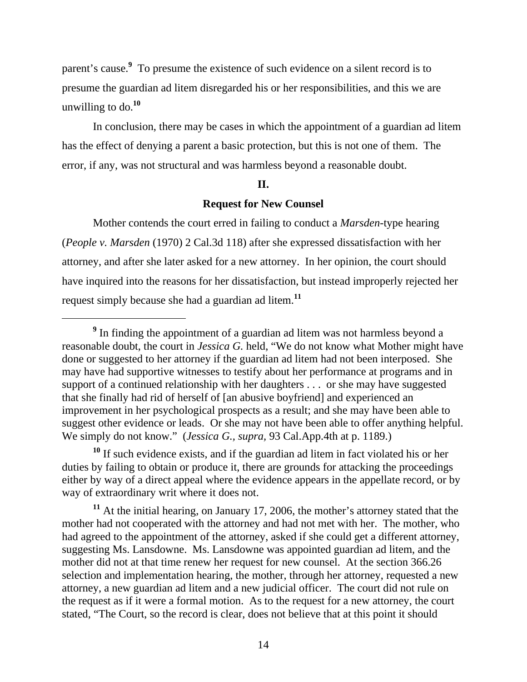parent's cause.**<sup>9</sup>** To presume the existence of such evidence on a silent record is to presume the guardian ad litem disregarded his or her responsibilities, and this we are unwilling to do.**<sup>10</sup>**

 In conclusion, there may be cases in which the appointment of a guardian ad litem has the effect of denying a parent a basic protection, but this is not one of them. The error, if any, was not structural and was harmless beyond a reasonable doubt.

#### **II.**

#### **Request for New Counsel**

 Mother contends the court erred in failing to conduct a *Marsden-*type hearing (*People v. Marsden* (1970) 2 Cal.3d 118) after she expressed dissatisfaction with her attorney, and after she later asked for a new attorney. In her opinion, the court should have inquired into the reasons for her dissatisfaction, but instead improperly rejected her request simply because she had a guardian ad litem.**<sup>11</sup>**

 $\overline{a}$ 

**<sup>10</sup>** If such evidence exists, and if the guardian ad litem in fact violated his or her duties by failing to obtain or produce it, there are grounds for attacking the proceedings either by way of a direct appeal where the evidence appears in the appellate record, or by way of extraordinary writ where it does not.

**<sup>11</sup>** At the initial hearing, on January 17, 2006, the mother's attorney stated that the mother had not cooperated with the attorney and had not met with her. The mother, who had agreed to the appointment of the attorney, asked if she could get a different attorney, suggesting Ms. Lansdowne. Ms. Lansdowne was appointed guardian ad litem, and the mother did not at that time renew her request for new counsel. At the section 366.26 selection and implementation hearing, the mother, through her attorney, requested a new attorney, a new guardian ad litem and a new judicial officer. The court did not rule on the request as if it were a formal motion. As to the request for a new attorney, the court stated, "The Court, so the record is clear, does not believe that at this point it should

<sup>&</sup>lt;sup>9</sup> In finding the appointment of a guardian ad litem was not harmless beyond a reasonable doubt, the court in *Jessica G.* held, "We do not know what Mother might have done or suggested to her attorney if the guardian ad litem had not been interposed. She may have had supportive witnesses to testify about her performance at programs and in support of a continued relationship with her daughters . . . or she may have suggested that she finally had rid of herself of [an abusive boyfriend] and experienced an improvement in her psychological prospects as a result; and she may have been able to suggest other evidence or leads. Or she may not have been able to offer anything helpful. We simply do not know." (*Jessica G., supra,* 93 Cal.App.4th at p. 1189.)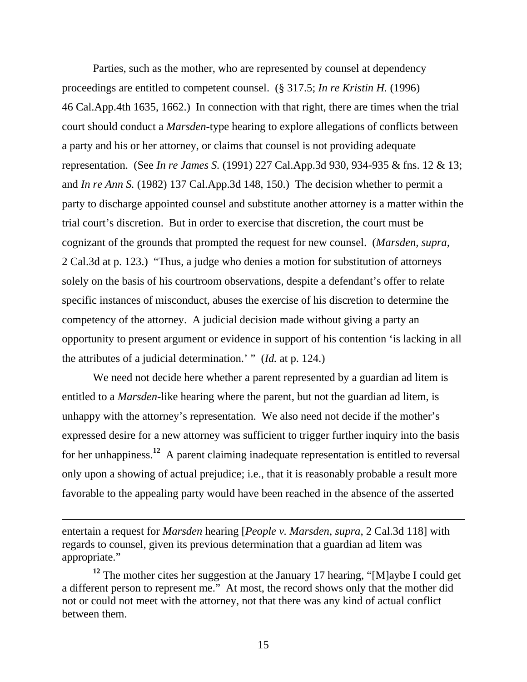Parties, such as the mother, who are represented by counsel at dependency proceedings are entitled to competent counsel. (§ 317.5; *In re Kristin H.* (1996) 46 Cal.App.4th 1635, 1662.) In connection with that right, there are times when the trial court should conduct a *Marsden-*type hearing to explore allegations of conflicts between a party and his or her attorney, or claims that counsel is not providing adequate representation. (See *In re James S.* (1991) 227 Cal.App.3d 930, 934-935 & fns. 12 & 13; and *In re Ann S.* (1982) 137 Cal.App.3d 148, 150.) The decision whether to permit a party to discharge appointed counsel and substitute another attorney is a matter within the trial court's discretion. But in order to exercise that discretion, the court must be cognizant of the grounds that prompted the request for new counsel. (*Marsden, supra,*  2 Cal.3d at p. 123.) "Thus, a judge who denies a motion for substitution of attorneys solely on the basis of his courtroom observations, despite a defendant's offer to relate specific instances of misconduct, abuses the exercise of his discretion to determine the competency of the attorney. A judicial decision made without giving a party an opportunity to present argument or evidence in support of his contention 'is lacking in all the attributes of a judicial determination.' " (*Id.* at p. 124.)

 We need not decide here whether a parent represented by a guardian ad litem is entitled to a *Marsden*-like hearing where the parent, but not the guardian ad litem, is unhappy with the attorney's representation. We also need not decide if the mother's expressed desire for a new attorney was sufficient to trigger further inquiry into the basis for her unhappiness.**<sup>12</sup>** A parent claiming inadequate representation is entitled to reversal only upon a showing of actual prejudice; i.e., that it is reasonably probable a result more favorable to the appealing party would have been reached in the absence of the asserted

entertain a request for *Marsden* hearing [*People v. Marsden*, *supra*, 2 Cal.3d 118] with regards to counsel, given its previous determination that a guardian ad litem was appropriate."

 $\overline{a}$ 

**<sup>12</sup>** The mother cites her suggestion at the January 17 hearing, "[M]aybe I could get a different person to represent me." At most, the record shows only that the mother did not or could not meet with the attorney, not that there was any kind of actual conflict between them.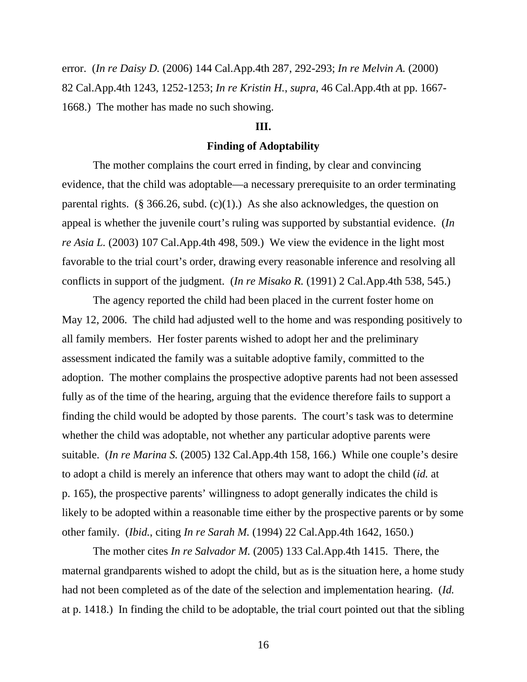error. (*In re Daisy D.* (2006) 144 Cal.App.4th 287, 292-293; *In re Melvin A.* (2000) 82 Cal.App.4th 1243, 1252-1253; *In re Kristin H.*, *supra*, 46 Cal.App.4th at pp. 1667- 1668.) The mother has made no such showing.

## **III.**

#### **Finding of Adoptability**

 The mother complains the court erred in finding, by clear and convincing evidence, that the child was adoptable—a necessary prerequisite to an order terminating parental rights. (§ 366.26, subd. (c)(1).) As she also acknowledges, the question on appeal is whether the juvenile court's ruling was supported by substantial evidence. (*In re Asia L.* (2003) 107 Cal.App.4th 498, 509.) We view the evidence in the light most favorable to the trial court's order, drawing every reasonable inference and resolving all conflicts in support of the judgment. (*In re Misako R.* (1991) 2 Cal.App.4th 538, 545.)

 The agency reported the child had been placed in the current foster home on May 12, 2006. The child had adjusted well to the home and was responding positively to all family members. Her foster parents wished to adopt her and the preliminary assessment indicated the family was a suitable adoptive family, committed to the adoption. The mother complains the prospective adoptive parents had not been assessed fully as of the time of the hearing, arguing that the evidence therefore fails to support a finding the child would be adopted by those parents. The court's task was to determine whether the child was adoptable, not whether any particular adoptive parents were suitable. (*In re Marina S.* (2005) 132 Cal.App.4th 158, 166.) While one couple's desire to adopt a child is merely an inference that others may want to adopt the child (*id.* at p. 165), the prospective parents' willingness to adopt generally indicates the child is likely to be adopted within a reasonable time either by the prospective parents or by some other family. (*Ibid.*, citing *In re Sarah M.* (1994) 22 Cal.App.4th 1642, 1650.)

 The mother cites *In re Salvador M.* (2005) 133 Cal.App.4th 1415. There, the maternal grandparents wished to adopt the child, but as is the situation here, a home study had not been completed as of the date of the selection and implementation hearing. (*Id.*  at p. 1418.) In finding the child to be adoptable, the trial court pointed out that the sibling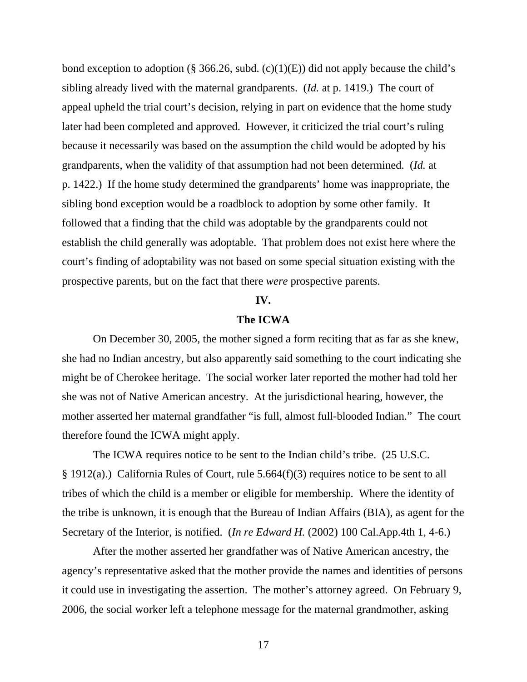bond exception to adoption (§ 366.26, subd. (c)(1)(E)) did not apply because the child's sibling already lived with the maternal grandparents. (*Id.* at p. 1419.) The court of appeal upheld the trial court's decision, relying in part on evidence that the home study later had been completed and approved. However, it criticized the trial court's ruling because it necessarily was based on the assumption the child would be adopted by his grandparents, when the validity of that assumption had not been determined. (*Id.* at p. 1422.) If the home study determined the grandparents' home was inappropriate, the sibling bond exception would be a roadblock to adoption by some other family. It followed that a finding that the child was adoptable by the grandparents could not establish the child generally was adoptable. That problem does not exist here where the court's finding of adoptability was not based on some special situation existing with the prospective parents, but on the fact that there *were* prospective parents.

#### **IV.**

## **The ICWA**

 On December 30, 2005, the mother signed a form reciting that as far as she knew, she had no Indian ancestry, but also apparently said something to the court indicating she might be of Cherokee heritage. The social worker later reported the mother had told her she was not of Native American ancestry. At the jurisdictional hearing, however, the mother asserted her maternal grandfather "is full, almost full-blooded Indian." The court therefore found the ICWA might apply.

 The ICWA requires notice to be sent to the Indian child's tribe. (25 U.S.C. § 1912(a).) California Rules of Court, rule 5.664(f)(3) requires notice to be sent to all tribes of which the child is a member or eligible for membership. Where the identity of the tribe is unknown, it is enough that the Bureau of Indian Affairs (BIA), as agent for the Secretary of the Interior, is notified. (*In re Edward H.* (2002) 100 Cal.App.4th 1, 4-6.)

 After the mother asserted her grandfather was of Native American ancestry, the agency's representative asked that the mother provide the names and identities of persons it could use in investigating the assertion. The mother's attorney agreed. On February 9, 2006, the social worker left a telephone message for the maternal grandmother, asking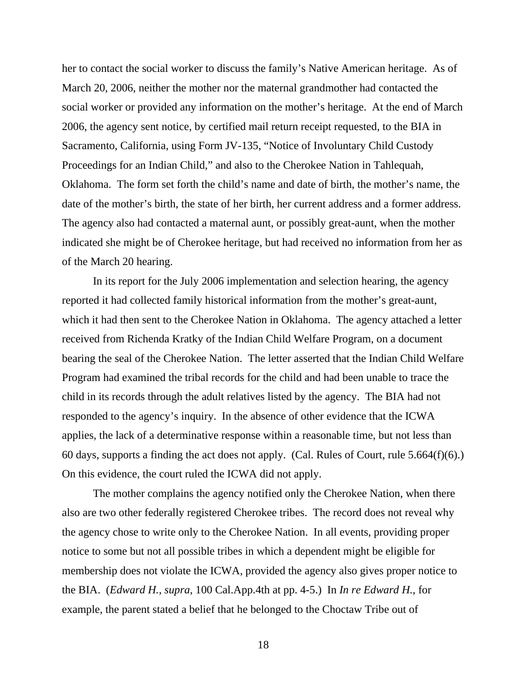her to contact the social worker to discuss the family's Native American heritage. As of March 20, 2006, neither the mother nor the maternal grandmother had contacted the social worker or provided any information on the mother's heritage. At the end of March 2006, the agency sent notice, by certified mail return receipt requested, to the BIA in Sacramento, California, using Form JV-135, "Notice of Involuntary Child Custody Proceedings for an Indian Child," and also to the Cherokee Nation in Tahlequah, Oklahoma. The form set forth the child's name and date of birth, the mother's name, the date of the mother's birth, the state of her birth, her current address and a former address. The agency also had contacted a maternal aunt, or possibly great-aunt, when the mother indicated she might be of Cherokee heritage, but had received no information from her as of the March 20 hearing.

 In its report for the July 2006 implementation and selection hearing, the agency reported it had collected family historical information from the mother's great-aunt, which it had then sent to the Cherokee Nation in Oklahoma. The agency attached a letter received from Richenda Kratky of the Indian Child Welfare Program, on a document bearing the seal of the Cherokee Nation. The letter asserted that the Indian Child Welfare Program had examined the tribal records for the child and had been unable to trace the child in its records through the adult relatives listed by the agency. The BIA had not responded to the agency's inquiry. In the absence of other evidence that the ICWA applies, the lack of a determinative response within a reasonable time, but not less than 60 days, supports a finding the act does not apply. (Cal. Rules of Court, rule 5.664(f)(6).) On this evidence, the court ruled the ICWA did not apply.

 The mother complains the agency notified only the Cherokee Nation, when there also are two other federally registered Cherokee tribes. The record does not reveal why the agency chose to write only to the Cherokee Nation. In all events, providing proper notice to some but not all possible tribes in which a dependent might be eligible for membership does not violate the ICWA, provided the agency also gives proper notice to the BIA. (*Edward H., supra,* 100 Cal.App.4th at pp. 4-5.) In *In re Edward H.,* for example, the parent stated a belief that he belonged to the Choctaw Tribe out of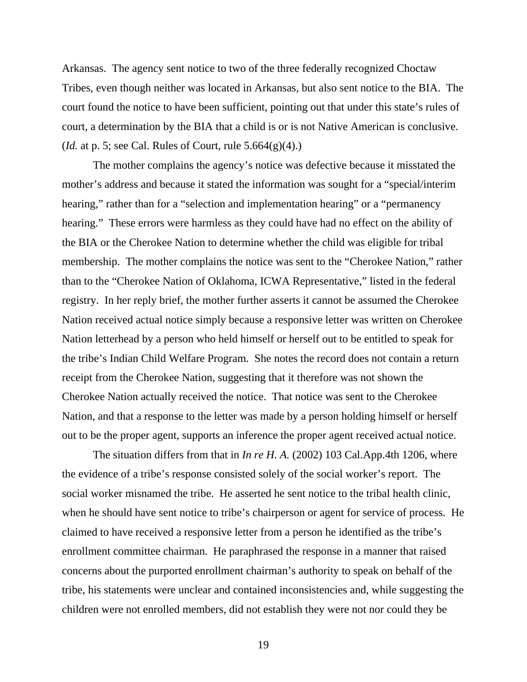Arkansas. The agency sent notice to two of the three federally recognized Choctaw Tribes, even though neither was located in Arkansas, but also sent notice to the BIA. The court found the notice to have been sufficient, pointing out that under this state's rules of court, a determination by the BIA that a child is or is not Native American is conclusive. (*Id.* at p. 5; see Cal. Rules of Court, rule 5.664(g)(4).)

 The mother complains the agency's notice was defective because it misstated the mother's address and because it stated the information was sought for a "special/interim hearing," rather than for a "selection and implementation hearing" or a "permanency" hearing." These errors were harmless as they could have had no effect on the ability of the BIA or the Cherokee Nation to determine whether the child was eligible for tribal membership. The mother complains the notice was sent to the "Cherokee Nation," rather than to the "Cherokee Nation of Oklahoma, ICWA Representative," listed in the federal registry. In her reply brief, the mother further asserts it cannot be assumed the Cherokee Nation received actual notice simply because a responsive letter was written on Cherokee Nation letterhead by a person who held himself or herself out to be entitled to speak for the tribe's Indian Child Welfare Program. She notes the record does not contain a return receipt from the Cherokee Nation, suggesting that it therefore was not shown the Cherokee Nation actually received the notice. That notice was sent to the Cherokee Nation, and that a response to the letter was made by a person holding himself or herself out to be the proper agent, supports an inference the proper agent received actual notice.

The situation differs from that in *In re H. A.* (2002) 103 Cal.App.4th 1206, where the evidence of a tribe's response consisted solely of the social worker's report. The social worker misnamed the tribe. He asserted he sent notice to the tribal health clinic, when he should have sent notice to tribe's chairperson or agent for service of process. He claimed to have received a responsive letter from a person he identified as the tribe's enrollment committee chairman. He paraphrased the response in a manner that raised concerns about the purported enrollment chairman's authority to speak on behalf of the tribe, his statements were unclear and contained inconsistencies and, while suggesting the children were not enrolled members, did not establish they were not nor could they be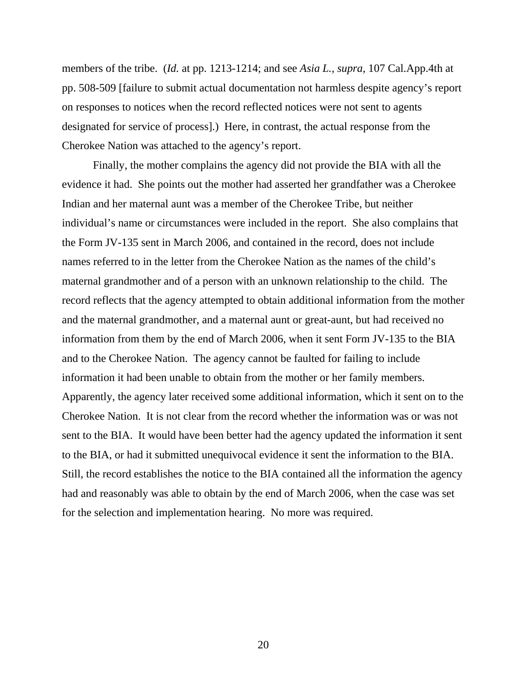members of the tribe. (*Id.* at pp. 1213-1214; and see *Asia L.*, *supra*, 107 Cal.App.4th at pp. 508-509 [failure to submit actual documentation not harmless despite agency's report on responses to notices when the record reflected notices were not sent to agents designated for service of process].) Here, in contrast, the actual response from the Cherokee Nation was attached to the agency's report.

 Finally, the mother complains the agency did not provide the BIA with all the evidence it had. She points out the mother had asserted her grandfather was a Cherokee Indian and her maternal aunt was a member of the Cherokee Tribe, but neither individual's name or circumstances were included in the report. She also complains that the Form JV-135 sent in March 2006, and contained in the record, does not include names referred to in the letter from the Cherokee Nation as the names of the child's maternal grandmother and of a person with an unknown relationship to the child. The record reflects that the agency attempted to obtain additional information from the mother and the maternal grandmother, and a maternal aunt or great-aunt, but had received no information from them by the end of March 2006, when it sent Form JV-135 to the BIA and to the Cherokee Nation. The agency cannot be faulted for failing to include information it had been unable to obtain from the mother or her family members. Apparently, the agency later received some additional information, which it sent on to the Cherokee Nation. It is not clear from the record whether the information was or was not sent to the BIA. It would have been better had the agency updated the information it sent to the BIA, or had it submitted unequivocal evidence it sent the information to the BIA. Still, the record establishes the notice to the BIA contained all the information the agency had and reasonably was able to obtain by the end of March 2006, when the case was set for the selection and implementation hearing. No more was required.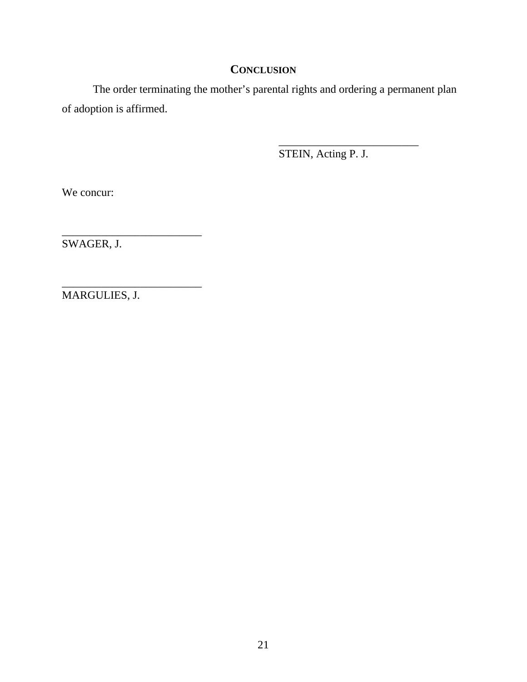# **CONCLUSION**

 The order terminating the mother's parental rights and ordering a permanent plan of adoption is affirmed.

 $\frac{1}{\sqrt{2}}$  , and the contract of the contract of the contract of the contract of the contract of the contract of the contract of the contract of the contract of the contract of the contract of the contract of the contra

STEIN, Acting P. J.

We concur:

SWAGER, J.

\_\_\_\_\_\_\_\_\_\_\_\_\_\_\_\_\_\_\_\_\_\_\_\_\_

\_\_\_\_\_\_\_\_\_\_\_\_\_\_\_\_\_\_\_\_\_\_\_\_\_ MARGULIES, J.